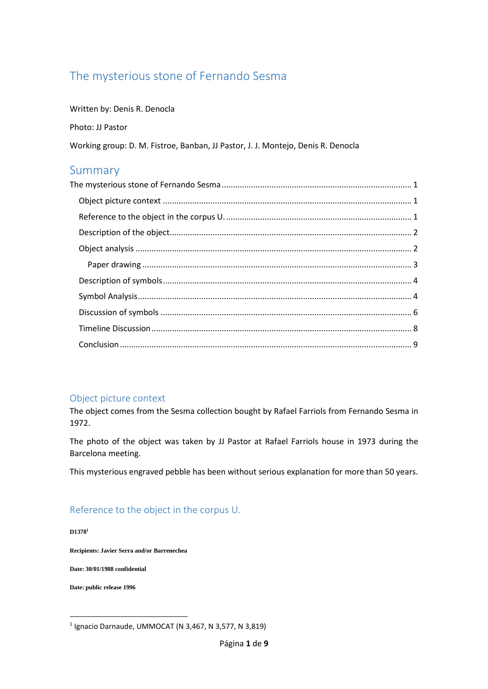# <span id="page-0-0"></span>The mysterious stone of Fernando Sesma

Written by: Denis R. Denocla

Photo: JJ Pastor

Working group: D. M. Fistroe, Banban, JJ Pastor, J. J. Montejo, Denis R. Denocla

# Summary

### <span id="page-0-1"></span>Object picture context

The object comes from the Sesma collection bought by Rafael Farriols from Fernando Sesma in 1972.

The photo of the object was taken by JJ Pastor at Rafael Farriols house in 1973 during the Barcelona meeting.

This mysterious engraved pebble has been without serious explanation for more than 50 years.

## <span id="page-0-2"></span>Reference to the object in the corpus U.

**D1378<sup>1</sup>**

**Recipients: Javier Serra and/or Barrenechea**

**Date: 30/01/1988 confidential**

**Date: public release 1996**

<sup>1</sup> Ignacio Darnaude, UMMOCAT (N 3,467, N 3,577, N 3,819)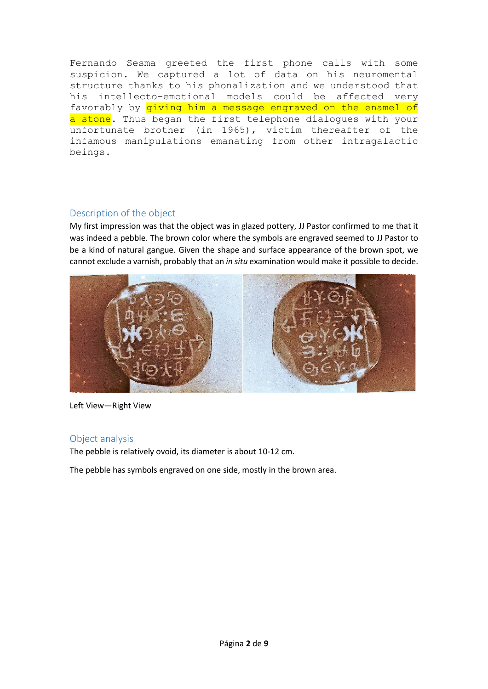Fernando Sesma greeted the first phone calls with some suspicion. We captured a lot of data on his neuromental structure thanks to his phonalization and we understood that his intellecto-emotional models could be affected very favorably by *giving him a message engraved on the enamel of* a stone. Thus began the first telephone dialogues with your unfortunate brother (in 1965), victim thereafter of the infamous manipulations emanating from other intragalactic beings.

### <span id="page-1-0"></span>Description of the object

My first impression was that the object was in glazed pottery, JJ Pastor confirmed to me that it was indeed a pebble. The brown color where the symbols are engraved seemed to JJ Pastor to be a kind of natural gangue. Given the shape and surface appearance of the brown spot, we cannot exclude a varnish, probably that an *in situ* examination would make it possible to decide.



Left View—Right View

## <span id="page-1-1"></span>Object analysis

The pebble is relatively ovoid, its diameter is about 10-12 cm.

The pebble has symbols engraved on one side, mostly in the brown area.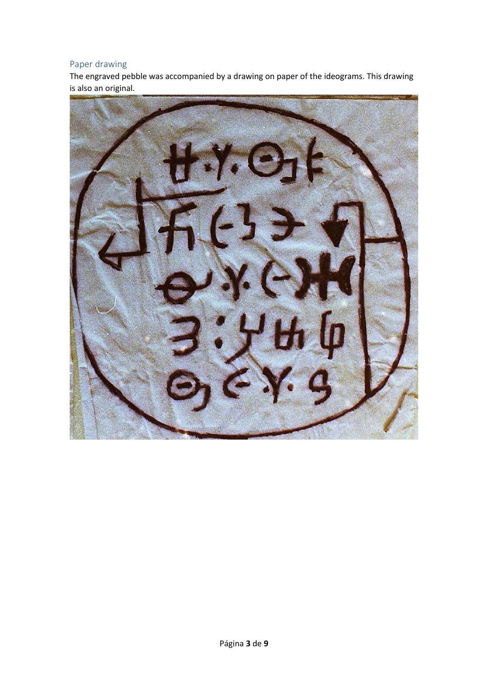# <span id="page-2-0"></span>Paper drawing

The engraved pebble was accompanied by a drawing on paper of the ideograms. This drawing is also an original.

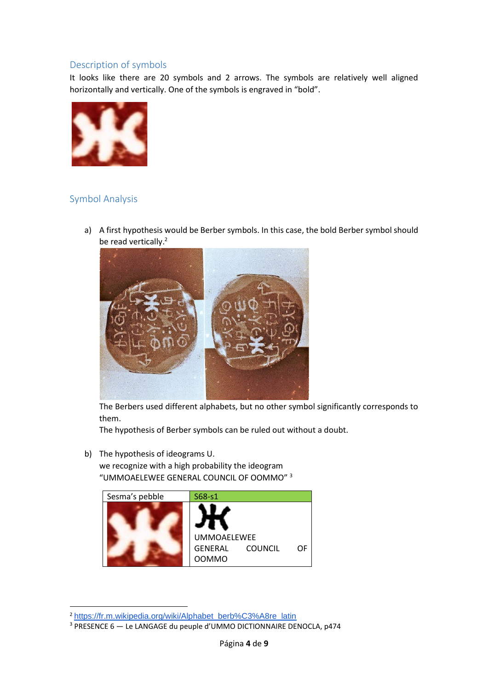### <span id="page-3-0"></span>Description of symbols

It looks like there are 20 symbols and 2 arrows. The symbols are relatively well aligned horizontally and vertically. One of the symbols is engraved in "bold".



# <span id="page-3-1"></span>Symbol Analysis

a) A first hypothesis would be Berber symbols. In this case, the bold Berber symbol should be read vertically.<sup>2</sup>



The Berbers used different alphabets, but no other symbol significantly corresponds to them.

The hypothesis of Berber symbols can be ruled out without a doubt.

b) The hypothesis of ideograms U.

we recognize with a high probability the ideogram "UMMOAELEWEE GENERAL COUNCIL OF OOMMO" 3



<sup>2</sup> [https://fr.m.wikipedia.org/wiki/Alphabet\\_berb%C3%A8re\\_latin](https://fr.m.wikipedia.org/wiki/Alphabet_berb%C3%A8re_latin)

<sup>3</sup> PRESENCE 6 — Le LANGAGE du peuple d'UMMO DICTIONNAIRE DENOCLA, p474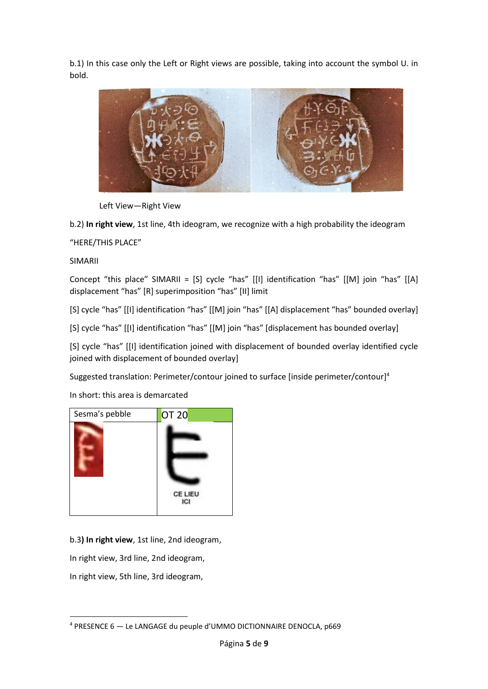b.1) In this case only the Left or Right views are possible, taking into account the symbol U. in bold.



Left View—Right View

b.2) **In right view**, 1st line, 4th ideogram, we recognize with a high probability the ideogram

"HERE/THIS PLACE"

SIMARII

Concept "this place" SIMARII = [S] cycle "has" [[I] identification "has" [[M] join "has" [[A] displacement "has" [R] superimposition "has" [II] limit

[S] cycle "has" [[I] identification "has" [[M] join "has" [[A] displacement "has" bounded overlay]

[S] cycle "has" [[I] identification "has" [[M] join "has" [displacement has bounded overlay]

[S] cycle "has" [[I] identification joined with displacement of bounded overlay identified cycle joined with displacement of bounded overlay]

Suggested translation: Perimeter/contour joined to surface [inside perimeter/contour]<sup>4</sup>

In short: this area is demarcated



b.3**) In right view**, 1st line, 2nd ideogram,

In right view, 3rd line, 2nd ideogram,

In right view, 5th line, 3rd ideogram,

<sup>4</sup> PRESENCE 6 — Le LANGAGE du peuple d'UMMO DICTIONNAIRE DENOCLA, p669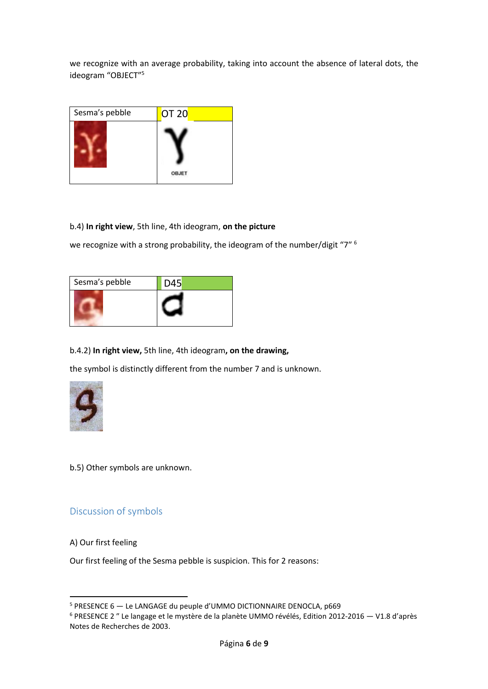we recognize with an average probability, taking into account the absence of lateral dots, the ideogram "OBJECT" 5

| Sesma's pebble | OT 20        |  |
|----------------|--------------|--|
|                | <b>OBJET</b> |  |

#### b.4) **In right view**, 5th line, 4th ideogram, **on the picture**

we recognize with a strong probability, the ideogram of the number/digit "7" <sup>6</sup>

| Sesma's pebble | D45 |
|----------------|-----|
|                |     |

### b.4.2) **In right view,** 5th line, 4th ideogram**, on the drawing,**

the symbol is distinctly different from the number 7 and is unknown.



b.5) Other symbols are unknown.

### <span id="page-5-0"></span>Discussion of symbols

#### A) Our first feeling

Our first feeling of the Sesma pebble is suspicion. This for 2 reasons:

<sup>5</sup> PRESENCE 6 — Le LANGAGE du peuple d'UMMO DICTIONNAIRE DENOCLA, p669

<sup>6</sup> PRESENCE 2 ″ Le langage et le mystère de la planète UMMO révélés, Edition 2012-2016 — V1.8 d'après Notes de Recherches de 2003.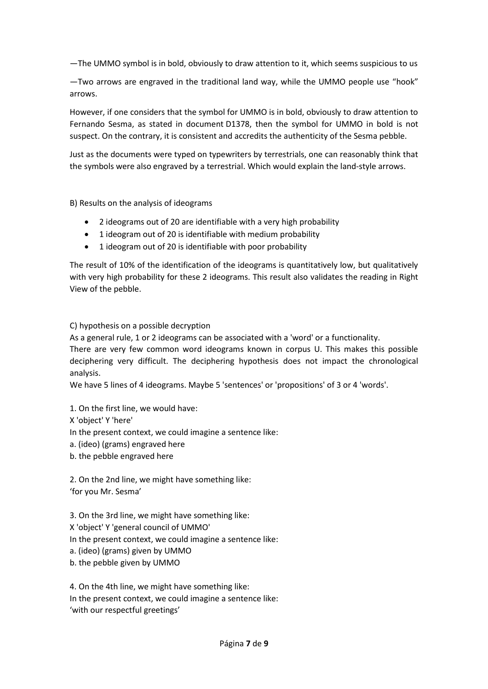—The UMMO symbol is in bold, obviously to draw attention to it, which seems suspicious to us

—Two arrows are engraved in the traditional land way, while the UMMO people use "hook" arrows.

However, if one considers that the symbol for UMMO is in bold, obviously to draw attention to Fernando Sesma, as stated in document D1378, then the symbol for UMMO in bold is not suspect. On the contrary, it is consistent and accredits the authenticity of the Sesma pebble.

Just as the documents were typed on typewriters by terrestrials, one can reasonably think that the symbols were also engraved by a terrestrial. Which would explain the land-style arrows.

B) Results on the analysis of ideograms

- 2 ideograms out of 20 are identifiable with a very high probability
- 1 ideogram out of 20 is identifiable with medium probability
- 1 ideogram out of 20 is identifiable with poor probability

The result of 10% of the identification of the ideograms is quantitatively low, but qualitatively with very high probability for these 2 ideograms. This result also validates the reading in Right View of the pebble.

C) hypothesis on a possible decryption

As a general rule, 1 or 2 ideograms can be associated with a 'word' or a functionality.

There are very few common word ideograms known in corpus U. This makes this possible deciphering very difficult. The deciphering hypothesis does not impact the chronological analysis.

We have 5 lines of 4 ideograms. Maybe 5 'sentences' or 'propositions' of 3 or 4 'words'.

1. On the first line, we would have:

X 'object' Y 'here'

In the present context, we could imagine a sentence like:

- a. (ideo) (grams) engraved here
- b. the pebble engraved here

2. On the 2nd line, we might have something like: 'for you Mr. Sesma'

- 3. On the 3rd line, we might have something like:
- X 'object' Y 'general council of UMMO'
- In the present context, we could imagine a sentence like:
- a. (ideo) (grams) given by UMMO
- b. the pebble given by UMMO

4. On the 4th line, we might have something like: In the present context, we could imagine a sentence like: 'with our respectful greetings'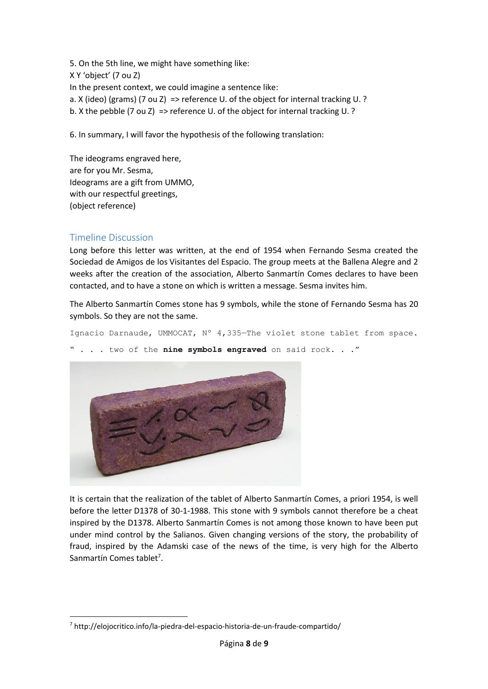5. On the 5th line, we might have something like:

X Y 'object' (7 ou Z)

In the present context, we could imagine a sentence like:

a. X (ideo) (grams) (7 ou Z) => reference U. of the object for internal tracking U. ?

b. X the pebble (7 ou Z) => reference U. of the object for internal tracking U. ?

6. In summary, I will favor the hypothesis of the following translation:

The ideograms engraved here, are for you Mr. Sesma, Ideograms are a gift from UMMO, with our respectful greetings, (object reference)

## <span id="page-7-0"></span>Timeline Discussion

Long before this letter was written, at the end of 1954 when Fernando Sesma created the Sociedad de Amigos de los Visitantes del Espacio. The group meets at the Ballena Alegre and 2 weeks after the creation of the association, Alberto Sanmartín Comes declares to have been contacted, and to have a stone on which is written a message. Sesma invites him.

The Alberto Sanmartín Comes stone has 9 symbols, while the stone of Fernando Sesma has 20 symbols. So they are not the same.

Ignacio Darnaude, UMMOCAT, Nº 4,335—The violet stone tablet from space.

" . . . two of the **nine symbols engraved** on said rock. . ."



It is certain that the realization of the tablet of Alberto Sanmartín Comes, a priori 1954, is well before the letter D1378 of 30-1-1988. This stone with 9 symbols cannot therefore be a cheat inspired by the D1378. Alberto Sanmartín Comes is not among those known to have been put under mind control by the Salianos. Given changing versions of the story, the probability of fraud, inspired by the Adamski case of the news of the time, is very high for the Alberto Sanmartín Comes tablet<sup>7</sup>.

<sup>7</sup> http://elojocritico.info/la-piedra-del-espacio-historia-de-un-fraude-compartido/